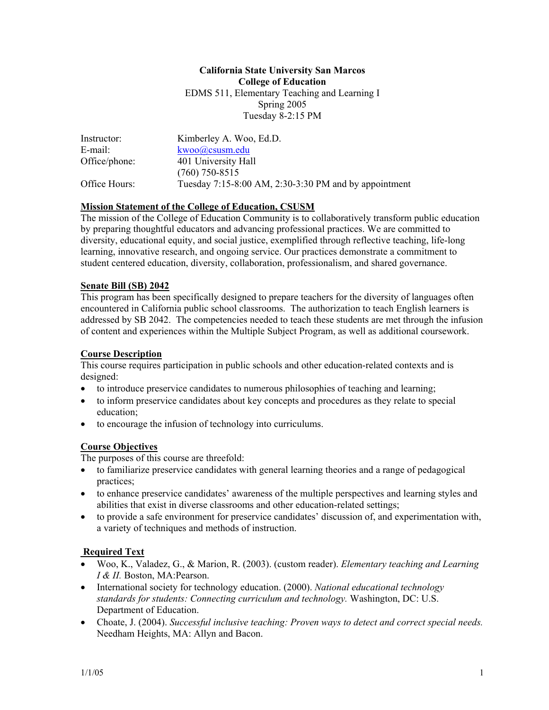#### **California State University San Marcos College of Education**  EDMS 511, Elementary Teaching and Learning I Spring 2005 Tuesday 8-2:15 PM

| Instructor:   | Kimberley A. Woo, Ed.D.                               |
|---------------|-------------------------------------------------------|
| E-mail:       | kwoo@csusm.edu                                        |
| Office/phone: | 401 University Hall                                   |
|               | $(760)$ 750-8515                                      |
| Office Hours: | Tuesday 7:15-8:00 AM, 2:30-3:30 PM and by appointment |

#### **Mission Statement of the College of Education, CSUSM**

The mission of the College of Education Community is to collaboratively transform public education by preparing thoughtful educators and advancing professional practices. We are committed to diversity, educational equity, and social justice, exemplified through reflective teaching, life-long learning, innovative research, and ongoing service. Our practices demonstrate a commitment to student centered education, diversity, collaboration, professionalism, and shared governance.

#### **Senate Bill (SB) 2042**

This program has been specifically designed to prepare teachers for the diversity of languages often encountered in California public school classrooms. The authorization to teach English learners is addressed by SB 2042. The competencies needed to teach these students are met through the infusion of content and experiences within the Multiple Subject Program, as well as additional coursework.

#### **Course Description**

This course requires participation in public schools and other education-related contexts and is designed:

- to introduce preservice candidates to numerous philosophies of teaching and learning;
- to inform preservice candidates about key concepts and procedures as they relate to special education;
- to encourage the infusion of technology into curriculums.

### **Course Objectives**

The purposes of this course are threefold:

- to familiarize preservice candidates with general learning theories and a range of pedagogical practices;
- to enhance preservice candidates' awareness of the multiple perspectives and learning styles and abilities that exist in diverse classrooms and other education-related settings;
- to provide a safe environment for preservice candidates' discussion of, and experimentation with, a variety of techniques and methods of instruction.

### **Required Text**

- Woo, K., Valadez, G., & Marion, R. (2003). (custom reader). *Elementary teaching and Learning I & II.* Boston, MA:Pearson.
- International society for technology education. (2000). *National educational technology standards for students: Connecting curriculum and technology.* Washington, DC: U.S. Department of Education.
- Choate, J. (2004). *Successful inclusive teaching: Proven ways to detect and correct special needs.* Needham Heights, MA: Allyn and Bacon.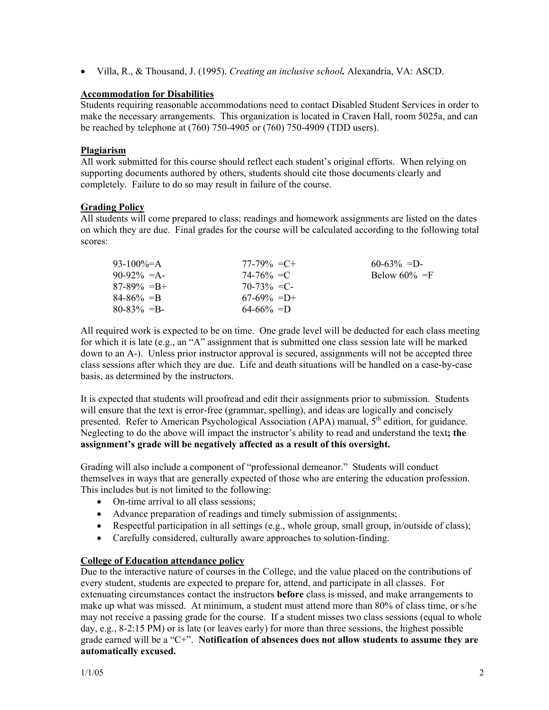• Villa, R., & Thousand, J. (1995). *Creating an inclusive school.* Alexandria, VA: ASCD.

#### **Accommodation for Disabilities**

Students requiring reasonable accommodations need to contact Disabled Student Services in order to make the necessary arrangements. This organization is located in Craven Hall, room 5025a, and can be reached by telephone at (760) 750-4905 or (760) 750-4909 (TDD users).

#### **Plagiarism**

All work submitted for this course should reflect each student's original efforts. When relying on supporting documents authored by others, students should cite those documents clearly and completely. Failure to do so may result in failure of the course.

#### **Grading Policy**

All students will come prepared to class; readings and homework assignments are listed on the dates on which they are due. Final grades for the course will be calculated according to the following total scores:

| 93-100\%=A      | $77-79\% = C +$ | $60-63\% = D$    |
|-----------------|-----------------|------------------|
| $90-92\% = A$   | $74 - 76\% = C$ | Below $60\% = F$ |
| $87-89\% = B +$ | $70-73\% = C$   |                  |
| $84 - 86\% = B$ | $67-69\% = D+$  |                  |
| $80 - 83\% = B$ | $64 - 66\% = D$ |                  |

All required work is expected to be on time. One grade level will be deducted for each class meeting for which it is late (e.g., an "A" assignment that is submitted one class session late will be marked down to an A-). Unless prior instructor approval is secured, assignments will not be accepted three class sessions after which they are due. Life and death situations will be handled on a case-by-case basis, as determined by the instructors.

It is expected that students will proofread and edit their assignments prior to submission. Students will ensure that the text is error-free (grammar, spelling), and ideas are logically and concisely presented. Refer to American Psychological Association (APA) manual,  $5<sup>th</sup>$  edition, for guidance. Neglecting to do the above will impact the instructor's ability to read and understand the text**; the assignment's grade will be negatively affected as a result of this oversight.** 

Grading will also include a component of "professional demeanor." Students will conduct themselves in ways that are generally expected of those who are entering the education profession. This includes but is not limited to the following:

- On-time arrival to all class sessions;
- Advance preparation of readings and timely submission of assignments;
- Respectful participation in all settings (e.g., whole group, small group, in/outside of class);
- Carefully considered, culturally aware approaches to solution-finding.

#### **College of Education attendance policy**

Due to the interactive nature of courses in the College, and the value placed on the contributions of every student, students are expected to prepare for, attend, and participate in all classes. For extenuating circumstances contact the instructors **before** class is missed, and make arrangements to make up what was missed. At minimum, a student must attend more than 80% of class time, or s/he may not receive a passing grade for the course. If a student misses two class sessions (equal to whole day, e.g., 8-2:15 PM) or is late (or leaves early) for more than three sessions, the highest possible grade earned will be a "C+". **Notification of absences does not allow students to assume they are automatically excused.**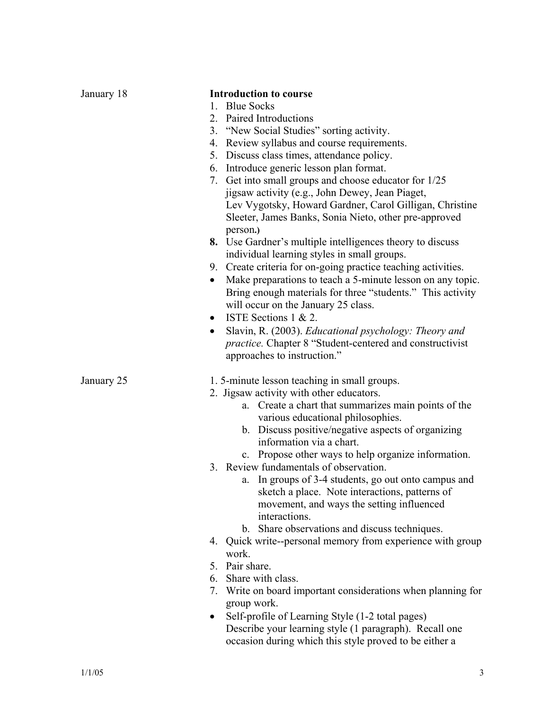| January 18 | <b>Introduction to course</b>                                           |
|------------|-------------------------------------------------------------------------|
|            | <b>Blue Socks</b><br>$1_{-}$                                            |
|            | Paired Introductions<br>2.                                              |
|            | 3. "New Social Studies" sorting activity.                               |
|            | 4. Review syllabus and course requirements.                             |
|            | 5. Discuss class times, attendance policy.                              |
|            | 6. Introduce generic lesson plan format.                                |
|            | 7. Get into small groups and choose educator for 1/25                   |
|            | jigsaw activity (e.g., John Dewey, Jean Piaget,                         |
|            | Lev Vygotsky, Howard Gardner, Carol Gilligan, Christine                 |
|            | Sleeter, James Banks, Sonia Nieto, other pre-approved                   |
|            | person.)                                                                |
|            | 8. Use Gardner's multiple intelligences theory to discuss               |
|            | individual learning styles in small groups.                             |
|            | 9. Create criteria for on-going practice teaching activities.           |
|            | Make preparations to teach a 5-minute lesson on any topic.<br>$\bullet$ |
|            | Bring enough materials for three "students." This activity              |
|            | will occur on the January 25 class.                                     |
|            | ISTE Sections $1 \& 2$ .<br>$\bullet$                                   |
|            | Slavin, R. (2003). Educational psychology: Theory and<br>$\bullet$      |
|            | <i>practice</i> . Chapter 8 "Student-centered and constructivist        |
|            | approaches to instruction."                                             |
| January 25 | 1.5-minute lesson teaching in small groups.                             |
|            | 2. Jigsaw activity with other educators.                                |
|            | Create a chart that summarizes main points of the<br>a.                 |
|            | various educational philosophies.                                       |
|            | b. Discuss positive/negative aspects of organizing                      |
|            | information via a chart.                                                |
|            | c. Propose other ways to help organize information.                     |
|            | 3. Review fundamentals of observation.                                  |
|            | a. In groups of 3-4 students, go out onto campus and                    |
|            | sketch a place. Note interactions, patterns of                          |
|            | movement, and ways the setting influenced                               |
|            | interactions.                                                           |
|            | b. Share observations and discuss techniques.                           |
|            | 4. Quick write--personal memory from experience with group              |
|            | work.                                                                   |
|            | 5. Pair share.                                                          |
|            | 6. Share with class.                                                    |
|            | Write on board important considerations when planning for<br>7.         |
|            | group work.                                                             |
|            | Self-profile of Learning Style (1-2 total pages)<br>$\bullet$           |
|            | Describe your learning style (1 paragraph). Recall one                  |
|            | occasion during which this style proved to be either a                  |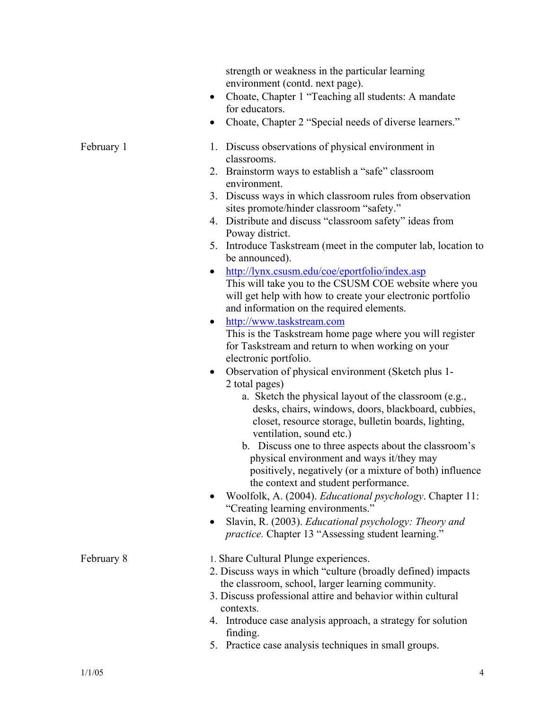strength or weakness in the particular learning environment (contd. next page). • Choate, Chapter 1 "Teaching all students: A mandate for educators. • Choate, Chapter 2 "Special needs of diverse learners." February 1 1. Discuss observations of physical environment in classrooms. 2. Brainstorm ways to establish a "safe" classroom environment. 3. Discuss ways in which classroom rules from observation sites promote/hinder classroom "safety." 4. Distribute and discuss "classroom safety" ideas from Poway district. 5. Introduce Taskstream (meet in the computer lab, location to be announced). • http://lynx.csusm.edu/coe/eportfolio/index.asp This will take you to the CSUSM COE website where you will get help with how to create your electronic portfolio and information on the required elements. • http://www.taskstream.com This is the Taskstream home page where you will register for Taskstream and return to when working on your electronic portfolio. • Observation of physical environment (Sketch plus 1- 2 total pages) a. Sketch the physical layout of the classroom (e.g., desks, chairs, windows, doors, blackboard, cubbies, closet, resource storage, bulletin boards, lighting, ventilation, sound etc.) b. Discuss one to three aspects about the classroom's physical environment and ways it/they may positively, negatively (or a mixture of both) influence the context and student performance. • Woolfolk, A. (2004). *Educational psychology*. Chapter 11: "Creating learning environments." • Slavin, R. (2003). *Educational psychology: Theory and practice.* Chapter 13 "Assessing student learning." February 8 1. Share Cultural Plunge experiences. 2. Discuss ways in which "culture (broadly defined) impacts the classroom, school, larger learning community. 3. Discuss professional attire and behavior within cultural contexts. 4. Introduce case analysis approach, a strategy for solution finding.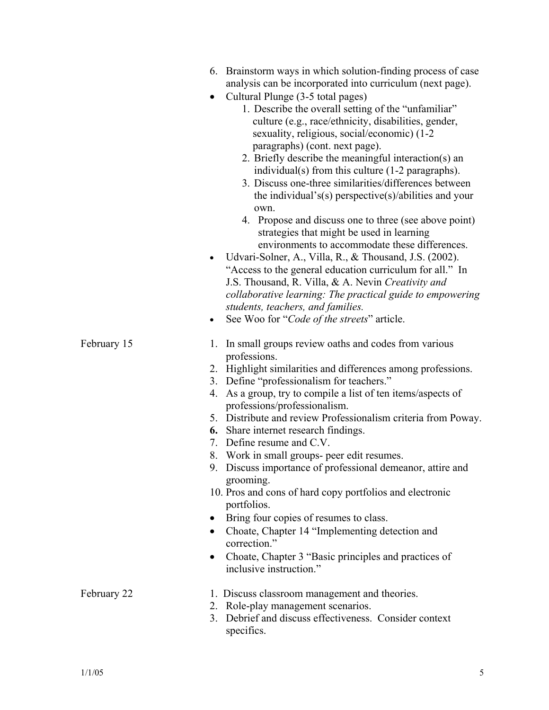|             | 6. Brainstorm ways in which solution-finding process of case<br>analysis can be incorporated into curriculum (next page).<br>Cultural Plunge (3-5 total pages)<br>$\bullet$<br>1. Describe the overall setting of the "unfamiliar"<br>culture (e.g., race/ethnicity, disabilities, gender,<br>sexuality, religious, social/economic) (1-2<br>paragraphs) (cont. next page).<br>2. Briefly describe the meaningful interaction(s) an<br>individual(s) from this culture (1-2 paragraphs).<br>3. Discuss one-three similarities/differences between<br>the individual's(s) perspective(s)/abilities and your<br>own.<br>4. Propose and discuss one to three (see above point)<br>strategies that might be used in learning<br>environments to accommodate these differences.<br>Udvari-Solner, A., Villa, R., & Thousand, J.S. (2002).<br>$\bullet$<br>"Access to the general education curriculum for all." In<br>J.S. Thousand, R. Villa, & A. Nevin Creativity and<br>collaborative learning: The practical guide to empowering<br>students, teachers, and families. |
|-------------|-----------------------------------------------------------------------------------------------------------------------------------------------------------------------------------------------------------------------------------------------------------------------------------------------------------------------------------------------------------------------------------------------------------------------------------------------------------------------------------------------------------------------------------------------------------------------------------------------------------------------------------------------------------------------------------------------------------------------------------------------------------------------------------------------------------------------------------------------------------------------------------------------------------------------------------------------------------------------------------------------------------------------------------------------------------------------|
| February 15 | See Woo for "Code of the streets" article.<br>In small groups review oaths and codes from various<br>1.<br>professions.<br>2. Highlight similarities and differences among professions.<br>3. Define "professionalism for teachers."<br>4. As a group, try to compile a list of ten items/aspects of<br>professions/professionalism.<br>5. Distribute and review Professionalism criteria from Poway.<br><b>6.</b> Share internet research findings.<br>Define resume and C.V.<br>7.<br>8. Work in small groups- peer edit resumes.<br>9. Discuss importance of professional demeanor, attire and<br>grooming.<br>10. Pros and cons of hard copy portfolios and electronic<br>portfolios.<br>Bring four copies of resumes to class.<br>Choate, Chapter 14 "Implementing detection and<br>$\bullet$<br>correction."<br>Choate, Chapter 3 "Basic principles and practices of<br>inclusive instruction."                                                                                                                                                                 |
| February 22 | 1. Discuss classroom management and theories.<br>2. Role-play management scenarios.<br>3. Debrief and discuss effectiveness. Consider context<br>specifics.                                                                                                                                                                                                                                                                                                                                                                                                                                                                                                                                                                                                                                                                                                                                                                                                                                                                                                           |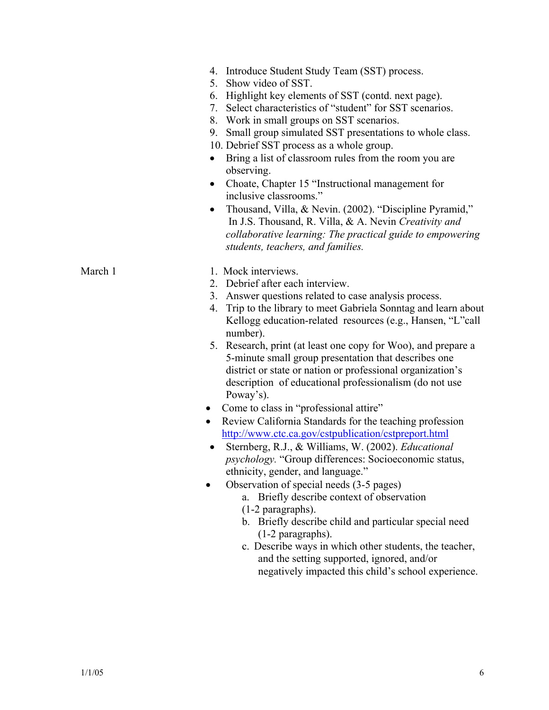|  | 4. Introduce Student Study Team (SST) process. |  |  |  |  |  |
|--|------------------------------------------------|--|--|--|--|--|
|--|------------------------------------------------|--|--|--|--|--|

- 5. Show video of SST.
- 6. Highlight key elements of SST (contd. next page).
- 7. Select characteristics of "student" for SST scenarios.
- 8. Work in small groups on SST scenarios.
- 9. Small group simulated SST presentations to whole class.
- 10. Debrief SST process as a whole group.
- Bring a list of classroom rules from the room you are observing.
- Choate, Chapter 15 "Instructional management for inclusive classrooms."
- Thousand, Villa, & Nevin. (2002). "Discipline Pyramid," In J.S. Thousand, R. Villa, & A. Nevin *Creativity and collaborative learning: The practical guide to empowering students, teachers, and families.*

- March 1 1. Mock interviews.
	- 2. Debrief after each interview.
	- 3. Answer questions related to case analysis process.
	- 4. Trip to the library to meet Gabriela Sonntag and learn about Kellogg education-related resources (e.g., Hansen, "L"call number).
	- 5. Research, print (at least one copy for Woo), and prepare a 5-minute small group presentation that describes one district or state or nation or professional organization's description of educational professionalism (do not use Poway's).
	- Come to class in "professional attire"
	- Review California Standards for the teaching profession http://www.ctc.ca.gov/cstpublication/cstpreport.html
	- Sternberg, R.J., & Williams, W. (2002). *Educational psychology.* "Group differences: Socioeconomic status, ethnicity, gender, and language."
	- Observation of special needs (3-5 pages)
		- a. Briefly describe context of observation (1-2 paragraphs).
		- b. Briefly describe child and particular special need (1-2 paragraphs).
		- c. Describe ways in which other students, the teacher, and the setting supported, ignored, and/or negatively impacted this child's school experience.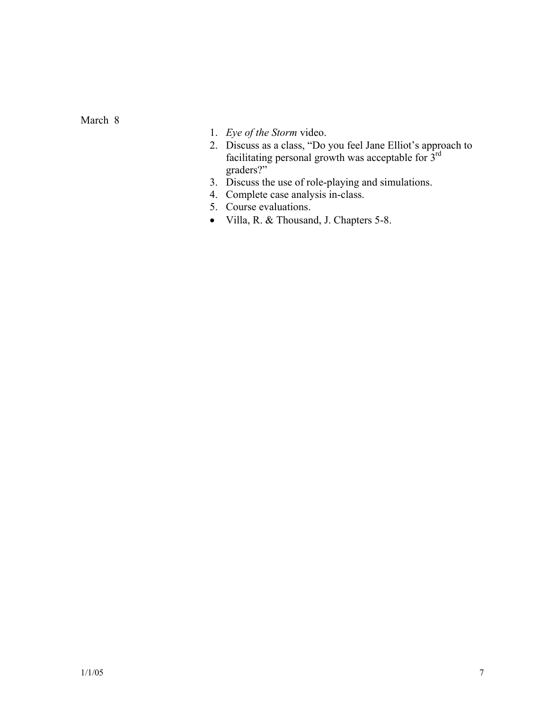March 8

- 1. *Eye of the Storm* video.
- 2. Discuss as a class, "Do you feel Jane Elliot's approach to facilitating personal growth was acceptable for  $3<sup>rd</sup>$ graders?"
- 3. Discuss the use of role-playing and simulations.
- 4. Complete case analysis in-class.
- 5. Course evaluations.
- Villa, R. & Thousand, J. Chapters 5-8.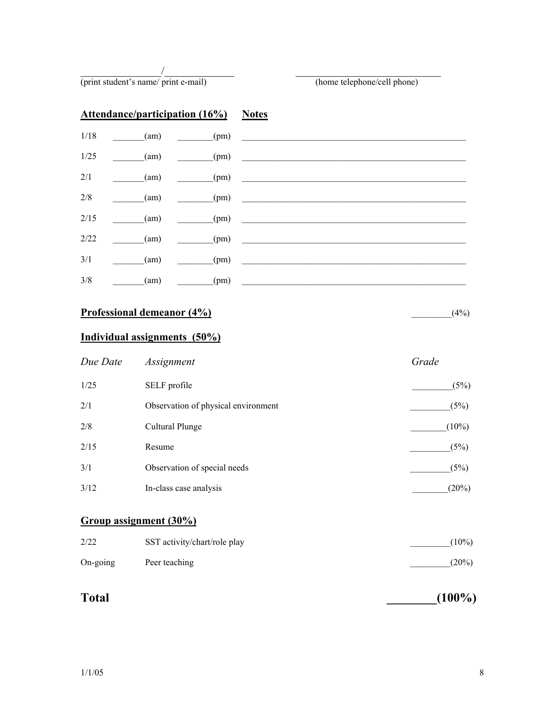$\overline{\phantom{a}}$ (print student's name/ print e-mail) (home telephone/cell phone)

| <b>Attendance/participation (16%)</b> Notes |      |      |                          |
|---------------------------------------------|------|------|--------------------------|
| 1/18                                        | (am) | (pm) | <b>Contract Contract</b> |
| 1/25                                        | (am) | (pm) |                          |
| 2/1                                         | (am) | (pm) |                          |
| 2/8                                         | (am) | (pm) |                          |
| 2/15                                        | (am) | (pm) |                          |
| 2/22                                        | (am) | (pm) |                          |
| 3/1                                         | (am) | (pm) |                          |
| 3/8                                         | (am) | (pm) |                          |

## **Professional demeanor (4%)** \_\_\_\_\_\_\_\_\_(4%)

## **Individual assignments (50%)**

| Due Date | Assignment                          | Grade    |
|----------|-------------------------------------|----------|
| 1/25     | SELF profile                        | (5%)     |
| 2/1      | Observation of physical environment | (5%)     |
| 2/8      | Cultural Plunge                     | $(10\%)$ |
| 2/15     | Resume                              | (5%)     |
| 3/1      | Observation of special needs        | (5%)     |
| 3/12     | In-class case analysis              | $(20\%)$ |

# **Group assignment (30%)**

| 2/22              | SST activity/chart/role play | $(10\%)$ |
|-------------------|------------------------------|----------|
| $On\text{-going}$ | Peer teaching                | $(20\%)$ |

# **Total** (100%)